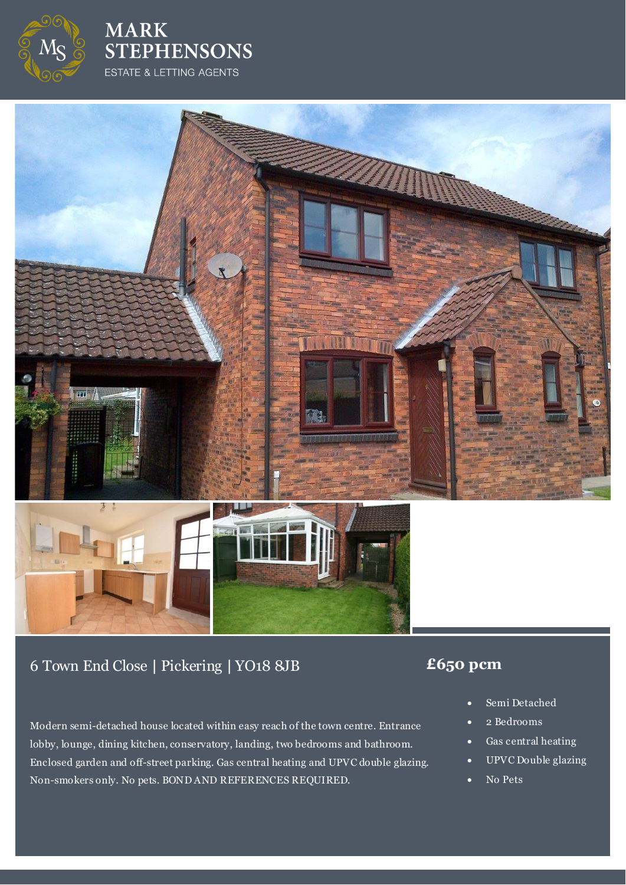

**MARK STEPHENSONS** ESTATE & LETTING AGENTS



# 6 Town End Close **|** Pickering **|** YO18 8JB **£650 pcm**

Modern semi-detached house located within easy reach of the town centre. Entrance lobby, lounge, dining kitchen, conservatory, landing, two bedrooms and bathroom. Enclosed garden and off-street parking. Gas central heating and UPVC double glazing. Non-smokers only. No pets. BOND AND REFERENCES REQUIRED.

- Semi Detached
- 2 Bedrooms
- Gas central heating
- UPVC Double glazing
- No Pets